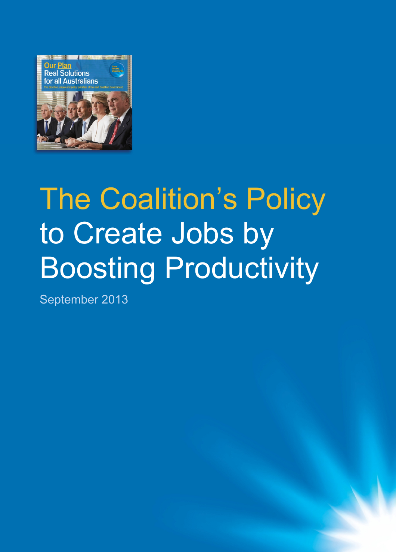

# The Coalition's Policy to Create Jobs by Boosting Productivity

September 2013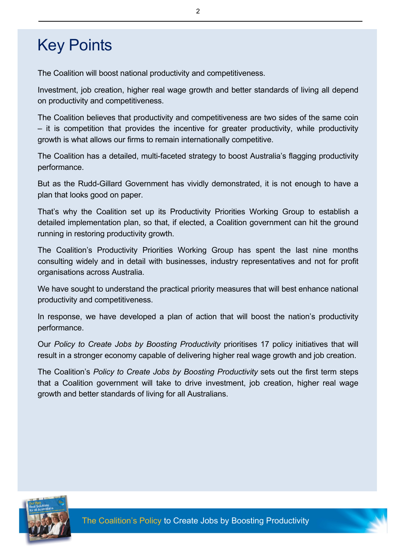# Key Points

The Coalition will boost national productivity and competitiveness.

Investment, job creation, higher real wage growth and better standards of living all depend on productivity and competitiveness.

The Coalition believes that productivity and competitiveness are two sides of the same coin – it is competition that provides the incentive for greater productivity, while productivity growth is what allows our firms to remain internationally competitive.

The Coalition has a detailed, multi-faceted strategy to boost Australia's flagging productivity performance.

But as the Rudd-Gillard Government has vividly demonstrated, it is not enough to have a plan that looks good on paper.

That's why the Coalition set up its Productivity Priorities Working Group to establish a detailed implementation plan, so that, if elected, a Coalition government can hit the ground running in restoring productivity growth.

The Coalition's Productivity Priorities Working Group has spent the last nine months consulting widely and in detail with businesses, industry representatives and not for profit organisations across Australia.

We have sought to understand the practical priority measures that will best enhance national productivity and competitiveness.

In response, we have developed a plan of action that will boost the nation's productivity performance.

Our *Policy to Create Jobs by Boosting Productivity* prioritises 17 policy initiatives that will result in a stronger economy capable of delivering higher real wage growth and job creation.

The Coalition's *Policy to Create Jobs by Boosting Productivity* sets out the first term steps that a Coalition government will take to drive investment, job creation, higher real wage growth and better standards of living for all Australians.

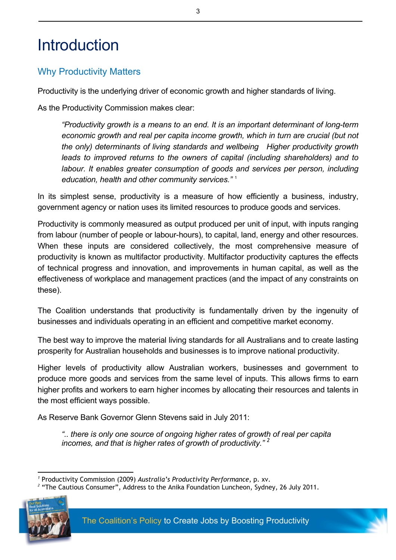# **Introduction**

# Why Productivity Matters

Productivity is the underlying driver of economic growth and higher standards of living.

As the Productivity Commission makes clear:

*"Productivity growth is a means to an end. It is an important determinant of long-term*  economic growth and real per capita income growth, which in turn are crucial (but not *the only) determinants of living standards and wellbeing Higher productivity growth leads to improved returns to the owners of capital (including shareholders) and to labour. It enables greater consumption of goods and services per person, including education, health and other community services."* <sup>1</sup>

In its simplest sense, productivity is a measure of how efficiently a business, industry, government agency or nation uses its limited resources to produce goods and services.

Productivity is commonly measured as output produced per unit of input, with inputs ranging from labour (number of people or labour-hours), to capital, land, energy and other resources. When these inputs are considered collectively, the most comprehensive measure of productivity is known as multifactor productivity. Multifactor productivity captures the effects of technical progress and innovation, and improvements in human capital, as well as the effectiveness of workplace and management practices (and the impact of any constraints on these).

The Coalition understands that productivity is fundamentally driven by the ingenuity of businesses and individuals operating in an efficient and competitive market economy.

The best way to improve the material living standards for all Australians and to create lasting prosperity for Australian households and businesses is to improve national productivity.

Higher levels of productivity allow Australian workers, businesses and government to produce more goods and services from the same level of inputs. This allows firms to earn higher profits and workers to earn higher incomes by allocating their resources and talents in the most efficient ways possible.

As Reserve Bank Governor Glenn Stevens said in July 2011:

*".. there is only one source of ongoing higher rates of growth of real per capita incomes, and that is higher rates of growth of productivity." <sup>2</sup>*

<sup>&</sup>lt;sup>2</sup> "The Cautious Consumer", Address to the Anika Foundation Luncheon, Sydney, 26 July 2011.



*1* Productivity Commission (2009) *Australia's Productivity Performance*, p. xv.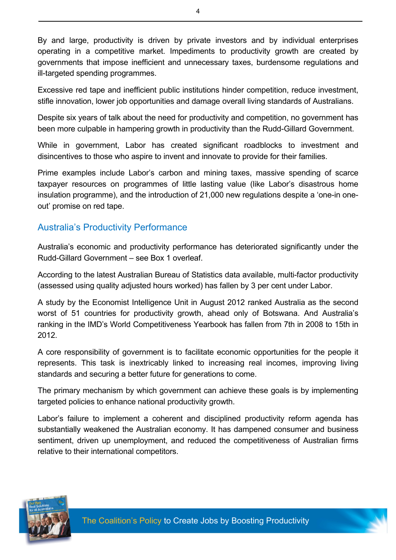By and large, productivity is driven by private investors and by individual enterprises operating in a competitive market. Impediments to productivity growth are created by governments that impose inefficient and unnecessary taxes, burdensome regulations and ill-targeted spending programmes.

Excessive red tape and inefficient public institutions hinder competition, reduce investment, stifle innovation, lower job opportunities and damage overall living standards of Australians.

Despite six years of talk about the need for productivity and competition, no government has been more culpable in hampering growth in productivity than the Rudd-Gillard Government.

While in government, Labor has created significant roadblocks to investment and disincentives to those who aspire to invent and innovate to provide for their families.

Prime examples include Labor's carbon and mining taxes, massive spending of scarce taxpayer resources on programmes of little lasting value (like Labor's disastrous home insulation programme), and the introduction of 21,000 new regulations despite a 'one-in oneout' promise on red tape.

### Australia's Productivity Performance

Australia's economic and productivity performance has deteriorated significantly under the Rudd-Gillard Government – see Box 1 overleaf.

According to the latest Australian Bureau of Statistics data available, multi-factor productivity (assessed using quality adjusted hours worked) has fallen by 3 per cent under Labor.

A study by the Economist Intelligence Unit in August 2012 ranked Australia as the second worst of 51 countries for productivity growth, ahead only of Botswana. And Australia's ranking in the IMD's World Competitiveness Yearbook has fallen from 7th in 2008 to 15th in 2012.

A core responsibility of government is to facilitate economic opportunities for the people it represents. This task is inextricably linked to increasing real incomes, improving living standards and securing a better future for generations to come.

The primary mechanism by which government can achieve these goals is by implementing targeted policies to enhance national productivity growth.

Labor's failure to implement a coherent and disciplined productivity reform agenda has substantially weakened the Australian economy. It has dampened consumer and business sentiment, driven up unemployment, and reduced the competitiveness of Australian firms relative to their international competitors.



4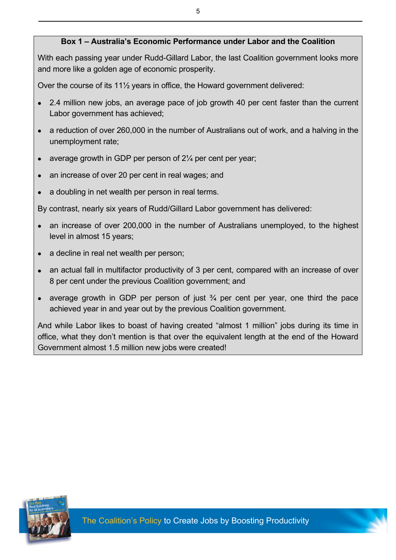#### **Box 1 – Australia's Economic Performance under Labor and the Coalition**

With each passing year under Rudd-Gillard Labor, the last Coalition government looks more and more like a golden age of economic prosperity.

Over the course of its 11½ years in office, the Howard government delivered:

- 2.4 million new jobs, an average pace of job growth 40 per cent faster than the current Labor government has achieved;
- a reduction of over 260,000 in the number of Australians out of work, and a halving in the unemployment rate;
- average growth in GDP per person of  $2\frac{1}{4}$  per cent per year;
- an increase of over 20 per cent in real wages; and
- a doubling in net wealth per person in real terms.

By contrast, nearly six years of Rudd/Gillard Labor government has delivered:

- an increase of over 200,000 in the number of Australians unemployed, to the highest level in almost 15 years;
- a decline in real net wealth per person;
- an actual fall in multifactor productivity of 3 per cent, compared with an increase of over 8 per cent under the previous Coalition government; and
- average growth in GDP per person of just  $\frac{3}{4}$  per cent per year, one third the pace achieved year in and year out by the previous Coalition government.

And while Labor likes to boast of having created "almost 1 million" jobs during its time in office, what they don't mention is that over the equivalent length at the end of the Howard Government almost 1.5 million new jobs were created!



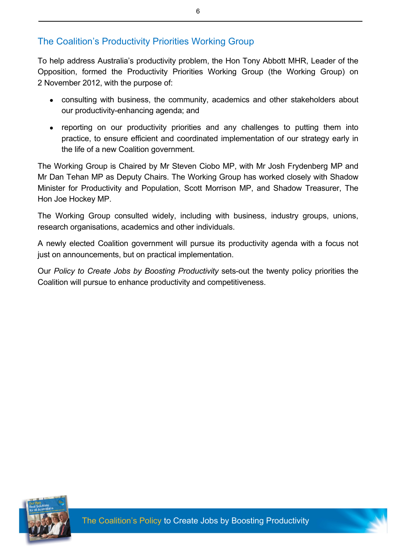# The Coalition's Productivity Priorities Working Group

To help address Australia's productivity problem, the Hon Tony Abbott MHR, Leader of the Opposition, formed the Productivity Priorities Working Group (the Working Group) on 2 November 2012, with the purpose of:

- consulting with business, the community, academics and other stakeholders about our productivity-enhancing agenda; and
- reporting on our productivity priorities and any challenges to putting them into practice, to ensure efficient and coordinated implementation of our strategy early in the life of a new Coalition government.

The Working Group is Chaired by Mr Steven Ciobo MP, with Mr Josh Frydenberg MP and Mr Dan Tehan MP as Deputy Chairs. The Working Group has worked closely with Shadow Minister for Productivity and Population, Scott Morrison MP, and Shadow Treasurer, The Hon Joe Hockey MP.

The Working Group consulted widely, including with business, industry groups, unions, research organisations, academics and other individuals.

A newly elected Coalition government will pursue its productivity agenda with a focus not just on announcements, but on practical implementation.

Our *Policy to Create Jobs by Boosting Productivity* sets-out the twenty policy priorities the Coalition will pursue to enhance productivity and competitiveness.



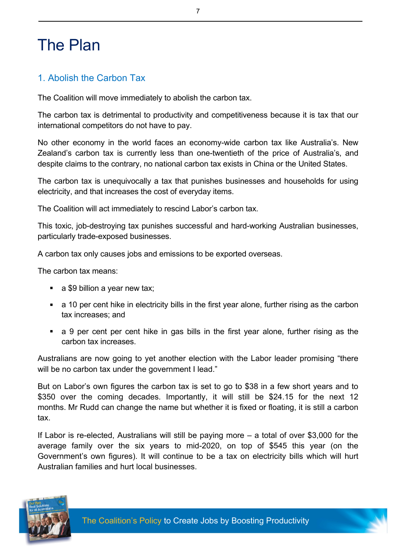# The Plan

### 1. Abolish the Carbon Tax

The Coalition will move immediately to abolish the carbon tax.

The carbon tax is detrimental to productivity and competitiveness because it is tax that our international competitors do not have to pay.

No other economy in the world faces an economy-wide carbon tax like Australia's. New Zealand's carbon tax is currently less than one-twentieth of the price of Australia's, and despite claims to the contrary, no national carbon tax exists in China or the United States.

The carbon tax is unequivocally a tax that punishes businesses and households for using electricity, and that increases the cost of everyday items.

The Coalition will act immediately to rescind Labor's carbon tax.

This toxic, job-destroying tax punishes successful and hard-working Australian businesses, particularly trade-exposed businesses.

A carbon tax only causes jobs and emissions to be exported overseas.

The carbon tax means:

- a \$9 billion a year new tax;
- a 10 per cent hike in electricity bills in the first year alone, further rising as the carbon tax increases; and
- a 9 per cent per cent hike in gas bills in the first year alone, further rising as the carbon tax increases.

Australians are now going to yet another election with the Labor leader promising "there will be no carbon tax under the government I lead."

But on Labor's own figures the carbon tax is set to go to \$38 in a few short years and to \$350 over the coming decades. Importantly, it will still be \$24.15 for the next 12 months. Mr Rudd can change the name but whether it is fixed or floating, it is still a carbon tax.

If Labor is re-elected, Australians will still be paying more – a total of over \$3,000 for the average family over the six years to mid-2020, on top of \$545 this year (on the Government's own figures). It will continue to be a tax on electricity bills which will hurt Australian families and hurt local businesses.

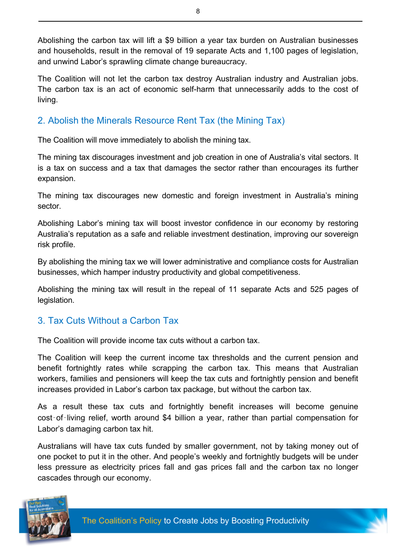Abolishing the carbon tax will lift a \$9 billion a year tax burden on Australian businesses and households, result in the removal of 19 separate Acts and 1,100 pages of legislation, and unwind Labor's sprawling climate change bureaucracy.

The Coalition will not let the carbon tax destroy Australian industry and Australian jobs. The carbon tax is an act of economic self-harm that unnecessarily adds to the cost of living.

# 2. Abolish the Minerals Resource Rent Tax (the Mining Tax)

The Coalition will move immediately to abolish the mining tax.

The mining tax discourages investment and job creation in one of Australia's vital sectors. It is a tax on success and a tax that damages the sector rather than encourages its further expansion.

The mining tax discourages new domestic and foreign investment in Australia's mining sector.

Abolishing Labor's mining tax will boost investor confidence in our economy by restoring Australia's reputation as a safe and reliable investment destination, improving our sovereign risk profile.

By abolishing the mining tax we will lower administrative and compliance costs for Australian businesses, which hamper industry productivity and global competitiveness.

Abolishing the mining tax will result in the repeal of 11 separate Acts and 525 pages of legislation.

# 3. Tax Cuts Without a Carbon Tax

The Coalition will provide income tax cuts without a carbon tax.

The Coalition will keep the current income tax thresholds and the current pension and benefit fortnightly rates while scrapping the carbon tax. This means that Australian workers, families and pensioners will keep the tax cuts and fortnightly pension and benefit increases provided in Labor's carbon tax package, but without the carbon tax.

As a result these tax cuts and fortnightly benefit increases will become genuine cost-of-living relief, worth around \$4 billion a year, rather than partial compensation for Labor's damaging carbon tax hit.

Australians will have tax cuts funded by smaller government, not by taking money out of one pocket to put it in the other. And people's weekly and fortnightly budgets will be under less pressure as electricity prices fall and gas prices fall and the carbon tax no longer cascades through our economy.

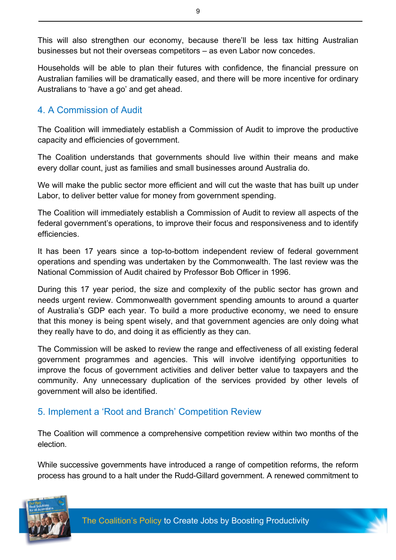This will also strengthen our economy, because there'll be less tax hitting Australian businesses but not their overseas competitors – as even Labor now concedes.

Households will be able to plan their futures with confidence, the financial pressure on Australian families will be dramatically eased, and there will be more incentive for ordinary Australians to 'have a go' and get ahead.

### 4. A Commission of Audit

The Coalition will immediately establish a Commission of Audit to improve the productive capacity and efficiencies of government.

The Coalition understands that governments should live within their means and make every dollar count, just as families and small businesses around Australia do.

We will make the public sector more efficient and will cut the waste that has built up under Labor, to deliver better value for money from government spending.

The Coalition will immediately establish a Commission of Audit to review all aspects of the federal government's operations, to improve their focus and responsiveness and to identify efficiencies.

It has been 17 years since a top-to-bottom independent review of federal government operations and spending was undertaken by the Commonwealth. The last review was the National Commission of Audit chaired by Professor Bob Officer in 1996.

During this 17 year period, the size and complexity of the public sector has grown and needs urgent review. Commonwealth government spending amounts to around a quarter of Australia's GDP each year. To build a more productive economy, we need to ensure that this money is being spent wisely, and that government agencies are only doing what they really have to do, and doing it as efficiently as they can.

The Commission will be asked to review the range and effectiveness of all existing federal government programmes and agencies. This will involve identifying opportunities to improve the focus of government activities and deliver better value to taxpayers and the community. Any unnecessary duplication of the services provided by other levels of government will also be identified.

### 5. Implement a 'Root and Branch' Competition Review

The Coalition will commence a comprehensive competition review within two months of the election.

While successive governments have introduced a range of competition reforms, the reform process has ground to a halt under the Rudd-Gillard government. A renewed commitment to

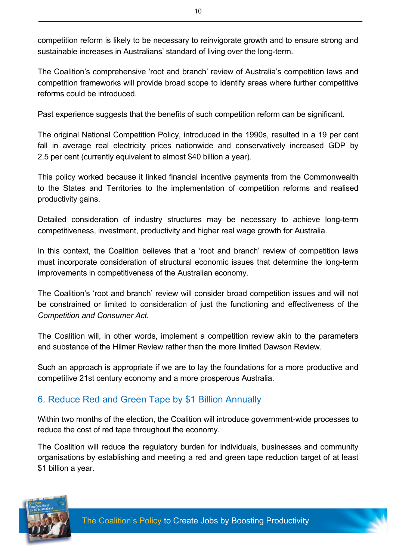competition reform is likely to be necessary to reinvigorate growth and to ensure strong and sustainable increases in Australians' standard of living over the long-term.

The Coalition's comprehensive 'root and branch' review of Australia's competition laws and competition frameworks will provide broad scope to identify areas where further competitive reforms could be introduced.

Past experience suggests that the benefits of such competition reform can be significant.

The original National Competition Policy, introduced in the 1990s, resulted in a 19 per cent fall in average real electricity prices nationwide and conservatively increased GDP by 2.5 per cent (currently equivalent to almost \$40 billion a year).

This policy worked because it linked financial incentive payments from the Commonwealth to the States and Territories to the implementation of competition reforms and realised productivity gains.

Detailed consideration of industry structures may be necessary to achieve long-term competitiveness, investment, productivity and higher real wage growth for Australia.

In this context, the Coalition believes that a 'root and branch' review of competition laws must incorporate consideration of structural economic issues that determine the long-term improvements in competitiveness of the Australian economy.

The Coalition's 'root and branch' review will consider broad competition issues and will not be constrained or limited to consideration of just the functioning and effectiveness of the *Competition and Consumer Act*.

The Coalition will, in other words, implement a competition review akin to the parameters and substance of the Hilmer Review rather than the more limited Dawson Review.

Such an approach is appropriate if we are to lay the foundations for a more productive and competitive 21st century economy and a more prosperous Australia.

# 6. Reduce Red and Green Tape by \$1 Billion Annually

Within two months of the election, the Coalition will introduce government-wide processes to reduce the cost of red tape throughout the economy.

The Coalition will reduce the regulatory burden for individuals, businesses and community organisations by establishing and meeting a red and green tape reduction target of at least \$1 billion a year.

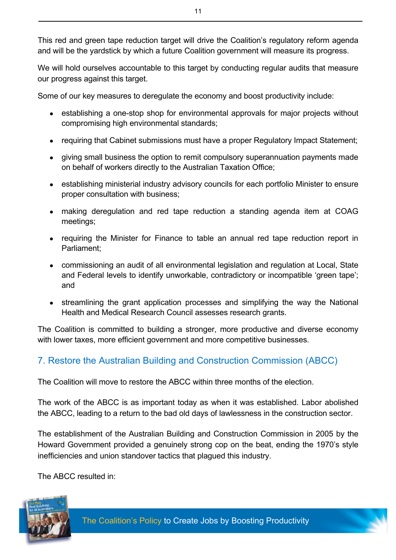This red and green tape reduction target will drive the Coalition's regulatory reform agenda and will be the yardstick by which a future Coalition government will measure its progress.

We will hold ourselves accountable to this target by conducting regular audits that measure our progress against this target.

Some of our key measures to deregulate the economy and boost productivity include:

- establishing a one-stop shop for environmental approvals for major projects without compromising high environmental standards;
- requiring that Cabinet submissions must have a proper Regulatory Impact Statement;
- giving small business the option to remit compulsory superannuation payments made on behalf of workers directly to the Australian Taxation Office;
- establishing ministerial industry advisory councils for each portfolio Minister to ensure proper consultation with business;
- making deregulation and red tape reduction a standing agenda item at COAG meetings;
- requiring the Minister for Finance to table an annual red tape reduction report in Parliament;
- commissioning an audit of all environmental legislation and regulation at Local, State and Federal levels to identify unworkable, contradictory or incompatible 'green tape'; and
- streamlining the grant application processes and simplifying the way the National Health and Medical Research Council assesses research grants.

The Coalition is committed to building a stronger, more productive and diverse economy with lower taxes, more efficient government and more competitive businesses.

# 7. Restore the Australian Building and Construction Commission (ABCC)

The Coalition will move to restore the ABCC within three months of the election.

The work of the ABCC is as important today as when it was established. Labor abolished the ABCC, leading to a return to the bad old days of lawlessness in the construction sector.

The establishment of the Australian Building and Construction Commission in 2005 by the Howard Government provided a genuinely strong cop on the beat, ending the 1970's style inefficiencies and union standover tactics that plagued this industry.

The ABCC resulted in:

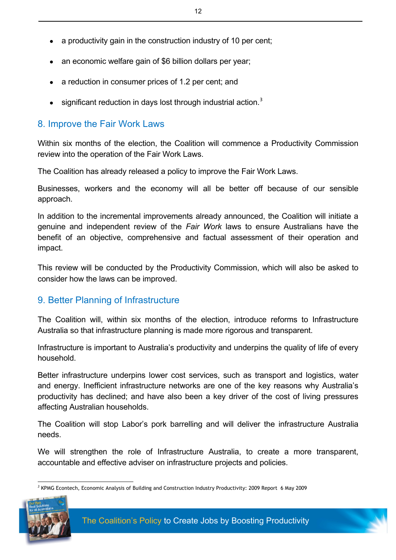- $\bullet$  a productivity gain in the construction industry of 10 per cent;
- an economic welfare gain of \$6 billion dollars per year;
- a reduction in consumer prices of 1.2 per cent; and
- significant reduction in days lost through industrial action.<sup>3</sup>

#### 8. Improve the Fair Work Laws

Within six months of the election, the Coalition will commence a Productivity Commission review into the operation of the Fair Work Laws.

The Coalition has already released a policy to improve the Fair Work Laws.

Businesses, workers and the economy will all be better off because of our sensible approach.

In addition to the incremental improvements already announced, the Coalition will initiate a genuine and independent review of the *Fair Work* laws to ensure Australians have the benefit of an objective, comprehensive and factual assessment of their operation and impact.

This review will be conducted by the Productivity Commission, which will also be asked to consider how the laws can be improved.

#### 9. Better Planning of Infrastructure

The Coalition will, within six months of the election, introduce reforms to Infrastructure Australia so that infrastructure planning is made more rigorous and transparent.

Infrastructure is important to Australia's productivity and underpins the quality of life of every household.

Better infrastructure underpins lower cost services, such as transport and logistics, water and energy. Inefficient infrastructure networks are one of the key reasons why Australia's productivity has declined; and have also been a key driver of the cost of living pressures affecting Australian households.

The Coalition will stop Labor's pork barrelling and will deliver the infrastructure Australia needs.

We will strengthen the role of Infrastructure Australia, to create a more transparent, accountable and effective adviser on infrastructure projects and policies.

<sup>3</sup> KPMG Econtech, Economic Analysis of Building and Construction Industry Productivity: 2009 Report 6 May 2009



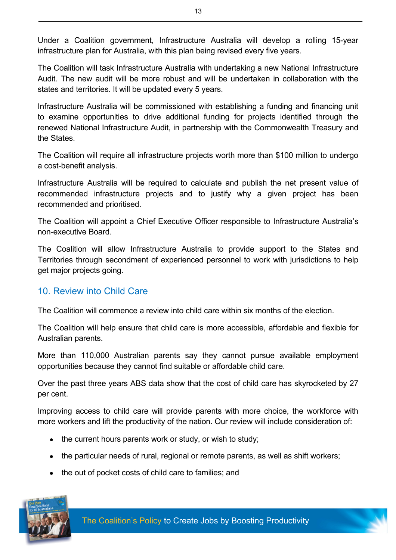Under a Coalition government, Infrastructure Australia will develop a rolling 15-year infrastructure plan for Australia, with this plan being revised every five years.

The Coalition will task Infrastructure Australia with undertaking a new National Infrastructure Audit. The new audit will be more robust and will be undertaken in collaboration with the states and territories. It will be updated every 5 years.

Infrastructure Australia will be commissioned with establishing a funding and financing unit to examine opportunities to drive additional funding for projects identified through the renewed National Infrastructure Audit, in partnership with the Commonwealth Treasury and the States.

The Coalition will require all infrastructure projects worth more than \$100 million to undergo a cost-benefit analysis.

Infrastructure Australia will be required to calculate and publish the net present value of recommended infrastructure projects and to justify why a given project has been recommended and prioritised.

The Coalition will appoint a Chief Executive Officer responsible to Infrastructure Australia's non-executive Board.

The Coalition will allow Infrastructure Australia to provide support to the States and Territories through secondment of experienced personnel to work with jurisdictions to help get major projects going.

#### 10. Review into Child Care

The Coalition will commence a review into child care within six months of the election.

The Coalition will help ensure that child care is more accessible, affordable and flexible for Australian parents.

More than 110,000 Australian parents say they cannot pursue available employment opportunities because they cannot find suitable or affordable child care.

Over the past three years ABS data show that the cost of child care has skyrocketed by 27 per cent.

Improving access to child care will provide parents with more choice, the workforce with more workers and lift the productivity of the nation. Our review will include consideration of:

- $\bullet$  the current hours parents work or study, or wish to study;
- $\bullet$  the particular needs of rural, regional or remote parents, as well as shift workers;
- the out of pocket costs of child care to families; and

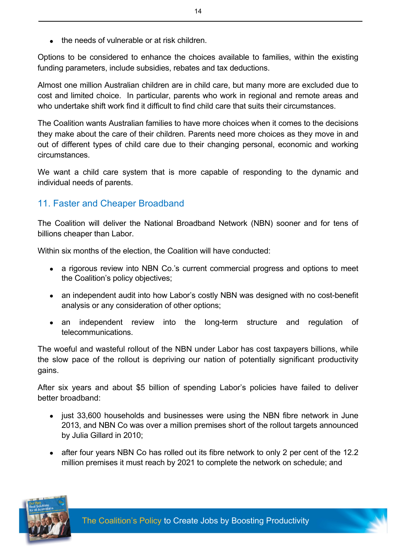$\bullet$  the needs of vulnerable or at risk children.

Options to be considered to enhance the choices available to families, within the existing funding parameters, include subsidies, rebates and tax deductions.

Almost one million Australian children are in child care, but many more are excluded due to cost and limited choice. In particular, parents who work in regional and remote areas and who undertake shift work find it difficult to find child care that suits their circumstances.

The Coalition wants Australian families to have more choices when it comes to the decisions they make about the care of their children. Parents need more choices as they move in and out of different types of child care due to their changing personal, economic and working circumstances.

We want a child care system that is more capable of responding to the dynamic and individual needs of parents.

# 11. Faster and Cheaper Broadband

The Coalition will deliver the National Broadband Network (NBN) sooner and for tens of billions cheaper than Labor.

Within six months of the election, the Coalition will have conducted:

- a rigorous review into NBN Co.'s current commercial progress and options to meet the Coalition's policy objectives;
- an independent audit into how Labor's costly NBN was designed with no cost-benefit analysis or any consideration of other options;
- an independent review into the long-term structure and regulation of telecommunications.

The woeful and wasteful rollout of the NBN under Labor has cost taxpayers billions, while the slow pace of the rollout is depriving our nation of potentially significant productivity gains.

After six years and about \$5 billion of spending Labor's policies have failed to deliver better broadband:

- just 33,600 households and businesses were using the NBN fibre network in June 2013, and NBN Co was over a million premises short of the rollout targets announced by Julia Gillard in 2010;
- after four years NBN Co has rolled out its fibre network to only 2 per cent of the 12.2 million premises it must reach by 2021 to complete the network on schedule; and

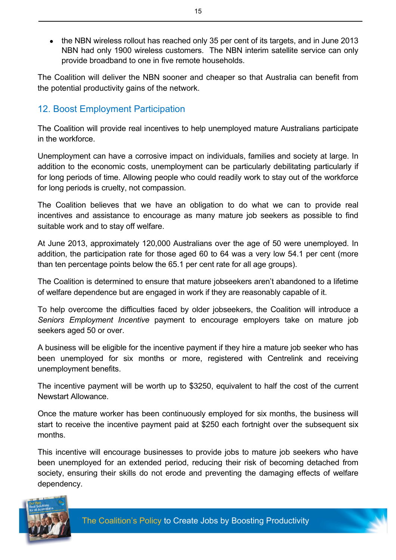• the NBN wireless rollout has reached only 35 per cent of its targets, and in June 2013 NBN had only 1900 wireless customers. The NBN interim satellite service can only provide broadband to one in five remote households.

The Coalition will deliver the NBN sooner and cheaper so that Australia can benefit from the potential productivity gains of the network.

#### 12. Boost Employment Participation

The Coalition will provide real incentives to help unemployed mature Australians participate in the workforce.

Unemployment can have a corrosive impact on individuals, families and society at large. In addition to the economic costs, unemployment can be particularly debilitating particularly if for long periods of time. Allowing people who could readily work to stay out of the workforce for long periods is cruelty, not compassion.

The Coalition believes that we have an obligation to do what we can to provide real incentives and assistance to encourage as many mature job seekers as possible to find suitable work and to stay off welfare.

At June 2013, approximately 120,000 Australians over the age of 50 were unemployed. In addition, the participation rate for those aged 60 to 64 was a very low 54.1 per cent (more than ten percentage points below the 65.1 per cent rate for all age groups).

The Coalition is determined to ensure that mature jobseekers aren't abandoned to a lifetime of welfare dependence but are engaged in work if they are reasonably capable of it.

To help overcome the difficulties faced by older jobseekers, the Coalition will introduce a *Seniors Employment Incentive* payment to encourage employers take on mature job seekers aged 50 or over.

A business will be eligible for the incentive payment if they hire a mature job seeker who has been unemployed for six months or more, registered with Centrelink and receiving unemployment benefits.

The incentive payment will be worth up to \$3250, equivalent to half the cost of the current Newstart Allowance.

Once the mature worker has been continuously employed for six months, the business will start to receive the incentive payment paid at \$250 each fortnight over the subsequent six months.

This incentive will encourage businesses to provide jobs to mature job seekers who have been unemployed for an extended period, reducing their risk of becoming detached from society, ensuring their skills do not erode and preventing the damaging effects of welfare dependency.

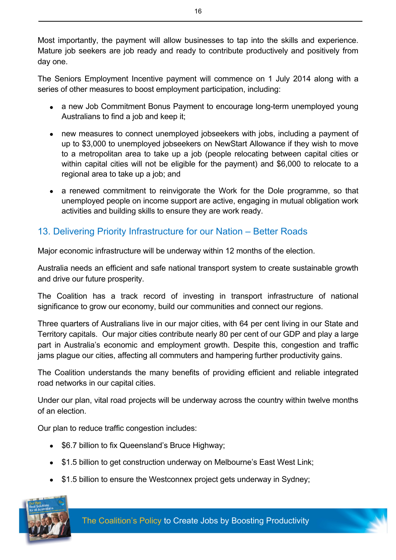Most importantly, the payment will allow businesses to tap into the skills and experience. Mature job seekers are job ready and ready to contribute productively and positively from day one.

The Seniors Employment Incentive payment will commence on 1 July 2014 along with a series of other measures to boost employment participation, including:

- a new Job Commitment Bonus Payment to encourage long-term unemployed young Australians to find a job and keep it;
- new measures to connect unemployed jobseekers with jobs, including a payment of up to \$3,000 to unemployed jobseekers on NewStart Allowance if they wish to move to a metropolitan area to take up a job (people relocating between capital cities or within capital cities will not be eligible for the payment) and \$6,000 to relocate to a regional area to take up a job; and
- a renewed commitment to reinvigorate the Work for the Dole programme, so that unemployed people on income support are active, engaging in mutual obligation work activities and building skills to ensure they are work ready.

# 13. Delivering Priority Infrastructure for our Nation – Better Roads

Major economic infrastructure will be underway within 12 months of the election.

Australia needs an efficient and safe national transport system to create sustainable growth and drive our future prosperity.

The Coalition has a track record of investing in transport infrastructure of national significance to grow our economy, build our communities and connect our regions.

Three quarters of Australians live in our major cities, with 64 per cent living in our State and Territory capitals. Our major cities contribute nearly 80 per cent of our GDP and play a large part in Australia's economic and employment growth. Despite this, congestion and traffic jams plague our cities, affecting all commuters and hampering further productivity gains.

The Coalition understands the many benefits of providing efficient and reliable integrated road networks in our capital cities.

Under our plan, vital road projects will be underway across the country within twelve months of an election.

Our plan to reduce traffic congestion includes:

- \$6.7 billion to fix Queensland's Bruce Highway;
- \$1.5 billion to get construction underway on Melbourne's East West Link;
- \$1.5 billion to ensure the Westconnex project gets underway in Sydney;

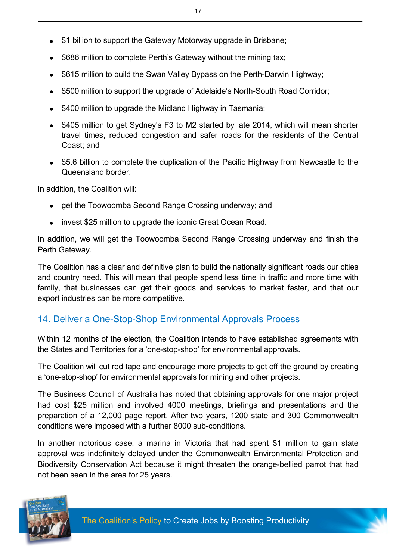- \$1 billion to support the Gateway Motorway upgrade in Brisbane;
- \$686 million to complete Perth's Gateway without the mining tax;
- \$615 million to build the Swan Valley Bypass on the Perth-Darwin Highway;
- \$500 million to support the upgrade of Adelaide's North-South Road Corridor;
- \$400 million to upgrade the Midland Highway in Tasmania:
- \$405 million to get Sydney's F3 to M2 started by late 2014, which will mean shorter travel times, reduced congestion and safer roads for the residents of the Central Coast; and
- \$5.6 billion to complete the duplication of the Pacific Highway from Newcastle to the Queensland border.

In addition, the Coalition will:

- get the Toowoomba Second Range Crossing underway; and
- invest \$25 million to upgrade the iconic Great Ocean Road.

In addition, we will get the Toowoomba Second Range Crossing underway and finish the Perth Gateway.

The Coalition has a clear and definitive plan to build the nationally significant roads our cities and country need. This will mean that people spend less time in traffic and more time with family, that businesses can get their goods and services to market faster, and that our export industries can be more competitive.

#### 14. Deliver a One-Stop-Shop Environmental Approvals Process

Within 12 months of the election, the Coalition intends to have established agreements with the States and Territories for a 'one-stop-shop' for environmental approvals.

The Coalition will cut red tape and encourage more projects to get off the ground by creating a 'one-stop-shop' for environmental approvals for mining and other projects.

The Business Council of Australia has noted that obtaining approvals for one major project had cost \$25 million and involved 4000 meetings, briefings and presentations and the preparation of a 12,000 page report. After two years, 1200 state and 300 Commonwealth conditions were imposed with a further 8000 sub-conditions.

In another notorious case, a marina in Victoria that had spent \$1 million to gain state approval was indefinitely delayed under the Commonwealth Environmental Protection and Biodiversity Conservation Act because it might threaten the orange-bellied parrot that had not been seen in the area for 25 years.



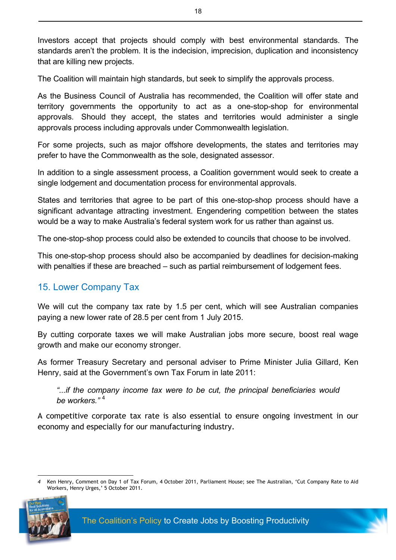Investors accept that projects should comply with best environmental standards. The standards aren't the problem. It is the indecision, imprecision, duplication and inconsistency that are killing new projects.

The Coalition will maintain high standards, but seek to simplify the approvals process.

As the Business Council of Australia has recommended, the Coalition will offer state and territory governments the opportunity to act as a one-stop-shop for environmental approvals. Should they accept, the states and territories would administer a single approvals process including approvals under Commonwealth legislation.

For some projects, such as major offshore developments, the states and territories may prefer to have the Commonwealth as the sole, designated assessor.

In addition to a single assessment process, a Coalition government would seek to create a single lodgement and documentation process for environmental approvals.

States and territories that agree to be part of this one-stop-shop process should have a significant advantage attracting investment. Engendering competition between the states would be a way to make Australia's federal system work for us rather than against us.

The one-stop-shop process could also be extended to councils that choose to be involved.

This one-stop-shop process should also be accompanied by deadlines for decision-making with penalties if these are breached – such as partial reimbursement of lodgement fees.

### 15. Lower Company Tax

We will cut the company tax rate by 1.5 per cent, which will see Australian companies paying a new lower rate of 28.5 per cent from 1 July 2015.

By cutting corporate taxes we will make Australian jobs more secure, boost real wage growth and make our economy stronger.

As former Treasury Secretary and personal adviser to Prime Minister Julia Gillard, Ken Henry, said at the Government's own Tax Forum in late 2011:

*"...if the company income tax were to be cut, the principal beneficiaries would be workers."* <sup>4</sup>

A competitive corporate tax rate is also essential to ensure ongoing investment in our economy and especially for our manufacturing industry.

*4* Ken Henry, Comment on Day 1 of Tax Forum, 4 October 2011, Parliament House; see The Australian, 'Cut Company Rate to Aid Workers, Henry Urges,' 5 October 2011.

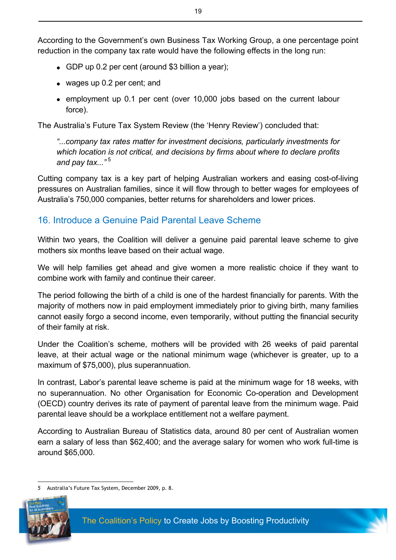According to the Government's own Business Tax Working Group, a one percentage point reduction in the company tax rate would have the following effects in the long run:

- $\bullet$  GDP up 0.2 per cent (around \$3 billion a year);
- $\bullet$  wages up 0.2 per cent; and
- employment up 0.1 per cent (over 10,000 jobs based on the current labour force).

The Australia's Future Tax System Review (the 'Henry Review') concluded that:

*"...company tax rates matter for investment decisions, particularly investments for which location is not critical, and decisions by firms about where to declare profits and pay tax..."* <sup>5</sup>

Cutting company tax is a key part of helping Australian workers and easing cost-of-living pressures on Australian families, since it will flow through to better wages for employees of Australia's 750,000 companies, better returns for shareholders and lower prices.

#### 16. Introduce a Genuine Paid Parental Leave Scheme

Within two years, the Coalition will deliver a genuine paid parental leave scheme to give mothers six months leave based on their actual wage.

We will help families get ahead and give women a more realistic choice if they want to combine work with family and continue their career.

The period following the birth of a child is one of the hardest financially for parents. With the majority of mothers now in paid employment immediately prior to giving birth, many families cannot easily forgo a second income, even temporarily, without putting the financial security of their family at risk.

Under the Coalition's scheme, mothers will be provided with 26 weeks of paid parental leave, at their actual wage or the national minimum wage (whichever is greater, up to a maximum of \$75,000), plus superannuation.

In contrast, Labor's parental leave scheme is paid at the minimum wage for 18 weeks, with no superannuation. No other Organisation for Economic Co-operation and Development (OECD) country derives its rate of payment of parental leave from the minimum wage. Paid parental leave should be a workplace entitlement not a welfare payment.

According to Australian Bureau of Statistics data, around 80 per cent of Australian women earn a salary of less than \$62,400; and the average salary for women who work full-time is around \$65,000.

*5* Australia's Future Tax System, December 2009, p. 8.

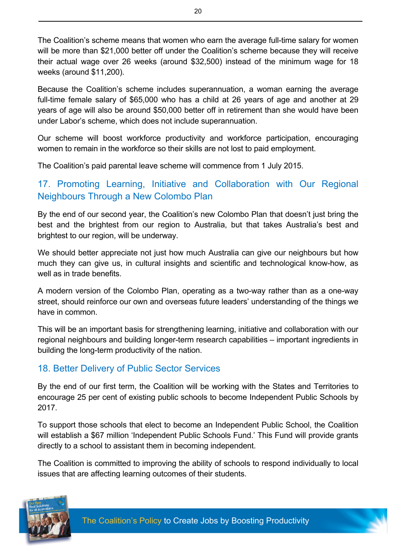The Coalition's scheme means that women who earn the average full-time salary for women will be more than \$21,000 better off under the Coalition's scheme because they will receive their actual wage over 26 weeks (around \$32,500) instead of the minimum wage for 18 weeks (around \$11,200).

Because the Coalition's scheme includes superannuation, a woman earning the average full-time female salary of \$65,000 who has a child at 26 years of age and another at 29 years of age will also be around \$50,000 better off in retirement than she would have been under Labor's scheme, which does not include superannuation.

Our scheme will boost workforce productivity and workforce participation, encouraging women to remain in the workforce so their skills are not lost to paid employment.

The Coalition's paid parental leave scheme will commence from 1 July 2015.

## 17. Promoting Learning, Initiative and Collaboration with Our Regional Neighbours Through a New Colombo Plan

By the end of our second year, the Coalition's new Colombo Plan that doesn't just bring the best and the brightest from our region to Australia, but that takes Australia's best and brightest to our region, will be underway.

We should better appreciate not just how much Australia can give our neighbours but how much they can give us, in cultural insights and scientific and technological know-how, as well as in trade benefits.

A modern version of the Colombo Plan, operating as a two-way rather than as a one-way street, should reinforce our own and overseas future leaders' understanding of the things we have in common.

This will be an important basis for strengthening learning, initiative and collaboration with our regional neighbours and building longer-term research capabilities – important ingredients in building the long-term productivity of the nation.

# 18. Better Delivery of Public Sector Services

By the end of our first term, the Coalition will be working with the States and Territories to encourage 25 per cent of existing public schools to become Independent Public Schools by 2017.

To support those schools that elect to become an Independent Public School, the Coalition will establish a \$67 million 'Independent Public Schools Fund.' This Fund will provide grants directly to a school to assistant them in becoming independent.

The Coalition is committed to improving the ability of schools to respond individually to local issues that are affecting learning outcomes of their students.

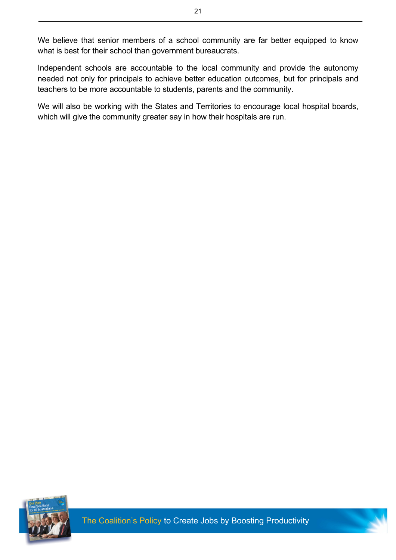We believe that senior members of a school community are far better equipped to know what is best for their school than government bureaucrats.

Independent schools are accountable to the local community and provide the autonomy needed not only for principals to achieve better education outcomes, but for principals and teachers to be more accountable to students, parents and the community.

We will also be working with the States and Territories to encourage local hospital boards, which will give the community greater say in how their hospitals are run.

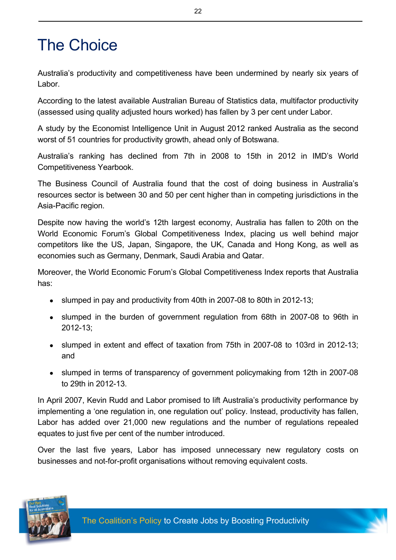# The Choice

Australia's productivity and competitiveness have been undermined by nearly six years of Labor.

According to the latest available Australian Bureau of Statistics data, multifactor productivity (assessed using quality adjusted hours worked) has fallen by 3 per cent under Labor.

A study by the Economist Intelligence Unit in August 2012 ranked Australia as the second worst of 51 countries for productivity growth, ahead only of Botswana.

Australia's ranking has declined from 7th in 2008 to 15th in 2012 in IMD's World Competitiveness Yearbook.

The Business Council of Australia found that the cost of doing business in Australia's resources sector is between 30 and 50 per cent higher than in competing jurisdictions in the Asia-Pacific region.

Despite now having the world's 12th largest economy, Australia has fallen to 20th on the World Economic Forum's Global Competitiveness Index, placing us well behind major competitors like the US, Japan, Singapore, the UK, Canada and Hong Kong, as well as economies such as Germany, Denmark, Saudi Arabia and Qatar.

Moreover, the World Economic Forum's Global Competitiveness Index reports that Australia has:

- slumped in pay and productivity from 40th in 2007-08 to 80th in 2012-13;
- slumped in the burden of government regulation from 68th in 2007-08 to 96th in 2012-13;
- slumped in extent and effect of taxation from 75th in 2007-08 to 103rd in 2012-13; and
- slumped in terms of transparency of government policymaking from 12th in 2007-08 to 29th in 2012-13.

In April 2007, Kevin Rudd and Labor promised to lift Australia's productivity performance by implementing a 'one regulation in, one regulation out' policy. Instead, productivity has fallen, Labor has added over 21,000 new regulations and the number of regulations repealed equates to just five per cent of the number introduced.

Over the last five years, Labor has imposed unnecessary new regulatory costs on businesses and not-for-profit organisations without removing equivalent costs.

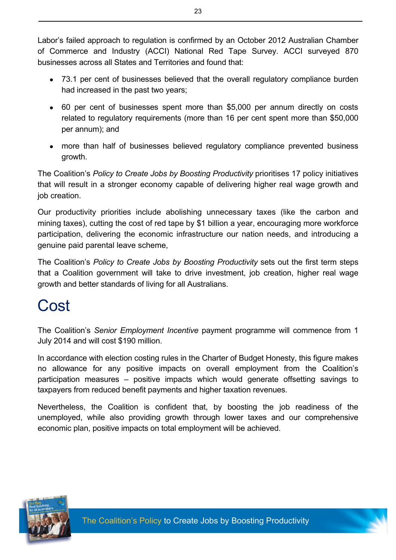Labor's failed approach to regulation is confirmed by an October 2012 Australian Chamber of Commerce and Industry (ACCI) National Red Tape Survey. ACCI surveyed 870 businesses across all States and Territories and found that:

- 73.1 per cent of businesses believed that the overall regulatory compliance burden had increased in the past two years;
- 60 per cent of businesses spent more than \$5,000 per annum directly on costs related to regulatory requirements (more than 16 per cent spent more than \$50,000 per annum); and
- more than half of businesses believed regulatory compliance prevented business growth.

The Coalition's *Policy to Create Jobs by Boosting Productivity* prioritises 17 policy initiatives that will result in a stronger economy capable of delivering higher real wage growth and job creation.

Our productivity priorities include abolishing unnecessary taxes (like the carbon and mining taxes), cutting the cost of red tape by \$1 billion a year, encouraging more workforce participation, delivering the economic infrastructure our nation needs, and introducing a genuine paid parental leave scheme,

The Coalition's *Policy to Create Jobs by Boosting Productivity* sets out the first term steps that a Coalition government will take to drive investment, job creation, higher real wage growth and better standards of living for all Australians.

# **Cost**

The Coalition's *Senior Employment Incentive* payment programme will commence from 1 July 2014 and will cost \$190 million.

In accordance with election costing rules in the Charter of Budget Honesty, this figure makes no allowance for any positive impacts on overall employment from the Coalition's participation measures – positive impacts which would generate offsetting savings to taxpayers from reduced benefit payments and higher taxation revenues.

Nevertheless, the Coalition is confident that, by boosting the job readiness of the unemployed, while also providing growth through lower taxes and our comprehensive economic plan, positive impacts on total employment will be achieved.